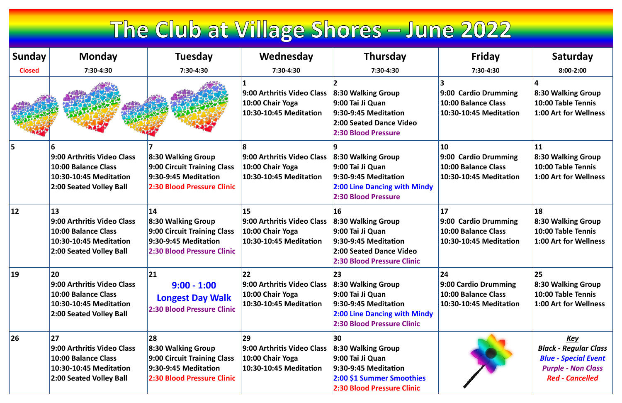## The Club at Village Shores - June 2022

| <b>Sunday</b> | <b>Monday</b>                                                                                                              | <b>Tuesday</b>                                                                                                              | Wednesday                                                                                                | <b>Thursday</b>                                                                                                                        | <b>Friday</b>                                                                         | Saturday                                                                                                                         |
|---------------|----------------------------------------------------------------------------------------------------------------------------|-----------------------------------------------------------------------------------------------------------------------------|----------------------------------------------------------------------------------------------------------|----------------------------------------------------------------------------------------------------------------------------------------|---------------------------------------------------------------------------------------|----------------------------------------------------------------------------------------------------------------------------------|
| <b>Closed</b> | 7:30-4:30                                                                                                                  | 7:30-4:30                                                                                                                   | 7:30-4:30                                                                                                | 7:30-4:30                                                                                                                              | 7:30-4:30                                                                             | $8:00 - 2:00$                                                                                                                    |
|               |                                                                                                                            |                                                                                                                             | 9:00 Arthritis Video Class<br>10:00 Chair Yoga<br>10:30-10:45 Meditation                                 | 8:30 Walking Group<br>9:00 Tai Ji Quan<br>$9:30-9:45$ Meditation<br>2:00 Seated Dance Video<br><b>2:30 Blood Pressure</b>              | 9:00 Cardio Drumming<br>10:00 Balance Class<br>10:30-10:45 Meditation                 | 8:30 Walking Group<br>10:00 Table Tennis<br>1:00 Art for Wellness                                                                |
| 5             | 9:00 Arthritis Video Class<br><b>10:00 Balance Class</b><br>10:30-10:45 Meditation<br>2:00 Seated Volley Ball              | 8:30 Walking Group<br><b>9:00 Circuit Training Class</b><br>9:30-9:45 Meditation<br><b>2:30 Blood Pressure Clinic</b>       | ጸ<br>9:00 Arthritis Video Class<br>10:00 Chair Yoga<br>10:30-10:45 Meditation                            | 8:30 Walking Group<br>9:00 Tai Ji Quan<br>9:30-9:45 Meditation<br><b>2:00 Line Dancing with Mindy</b><br><b>2:30 Blood Pressure</b>    | 10<br>9:00 Cardio Drumming<br><b>10:00 Balance Class</b><br>10:30-10:45 Meditation    | 11<br>8:30 Walking Group<br>10:00 Table Tennis<br>1:00 Art for Wellness                                                          |
| $ 12\rangle$  | 13<br>9:00 Arthritis Video Class<br>10:00 Balance Class<br>10:30-10:45 Meditation<br>2:00 Seated Volley Ball               | 14<br>8:30 Walking Group<br><b>9:00 Circuit Training Class</b><br>9:30-9:45 Meditation<br><b>2:30 Blood Pressure Clinic</b> | <b>15</b><br>9:00 Arthritis Video Class<br>10:00 Chair Yoga<br>10:30-10:45 Meditation                    | 16<br>8:30 Walking Group<br>9:00 Tai Ji Quan<br>$9:30-9:45$ Meditation<br>2:00 Seated Dance Video<br><b>2:30 Blood Pressure Clinic</b> | $\boxed{17}$<br>9:00 Cardio Drumming<br>10:00 Balance Class<br>10:30-10:45 Meditation | <b>18</b><br>8:30 Walking Group<br>10:00 Table Tennis<br>1:00 Art for Wellness                                                   |
| $ 19\rangle$  | 20<br>9:00 Arthritis Video Class<br><b>10:00 Balance Class</b><br>10:30-10:45 Meditation<br>2:00 Seated Volley Ball        | 21<br>$9:00 - 1:00$<br><b>Longest Day Walk</b><br><b>2:30 Blood Pressure Clinic</b>                                         | <b>22</b><br>9:00 Arthritis Video Class 8:30 Walking Group<br>10:00 Chair Yoga<br>10:30-10:45 Meditation | 23<br>9:00 Tai Ji Quan<br>9:30-9:45 Meditation<br><b>2:00 Line Dancing with Mindy</b><br><b>2:30 Blood Pressure Clinic</b>             | 24<br>9:00 Cardio Drumming<br>10:00 Balance Class<br>10:30-10:45 Meditation           | 25<br>8:30 Walking Group<br>10:00 Table Tennis<br>1:00 Art for Wellness                                                          |
| <b>26</b>     | <b>27</b><br>9:00 Arthritis Video Class<br><b>10:00 Balance Class</b><br>10:30-10:45 Meditation<br>2:00 Seated Volley Ball | 28<br>8:30 Walking Group<br><b>9:00 Circuit Training Class</b><br>9:30-9:45 Meditation<br><b>2:30 Blood Pressure Clinic</b> | 29<br>9:00 Arthritis Video Class<br>10:00 Chair Yoga<br>10:30-10:45 Meditation                           | 30<br>8:30 Walking Group<br>9:00 Tai Ji Quan<br>9:30-9:45 Meditation<br>2:00 \$1 Summer Smoothies<br><b>2:30 Blood Pressure Clinic</b> |                                                                                       | <u>Key</u><br><b>Black - Regular Class</b><br><b>Blue - Special Event</b><br><b>Purple - Non Class</b><br><b>Red - Cancelled</b> |